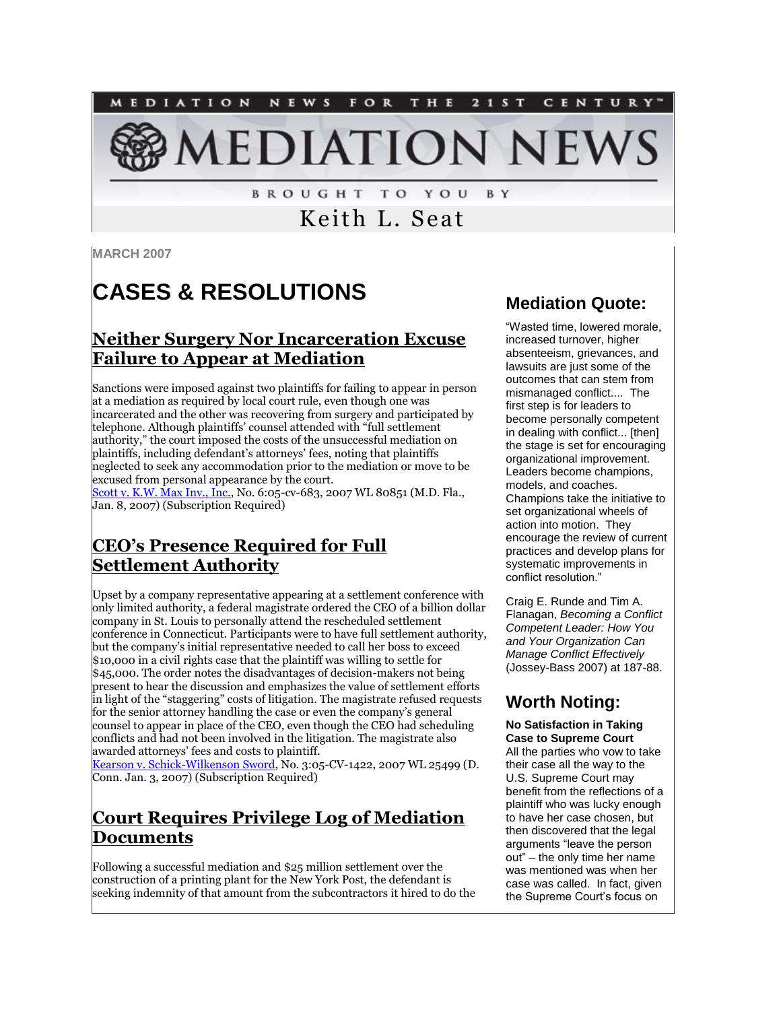

**BROUGHT TO YOU** B Y

# Keith L. Seat

**MARCH 2007**

# **CASES & RESOLUTIONS**

#### **Neither Surgery Nor Incarceration Excuse Failure to Appear at Mediation**

Sanctions were imposed against two plaintiffs for failing to appear in person at a mediation as required by local court rule, even though one was incarcerated and the other was recovering from surgery and participated by telephone. Although plaintiffs' counsel attended with "full settlement authority," the court imposed the costs of the unsuccessful mediation on plaintiffs, including defendant's attorneys' fees, noting that plaintiffs neglected to seek any accommodation prior to the mediation or move to be excused from personal appearance by the court.

[Scott v. K.W. Max Inv., Inc.,](http://tinyurl.com/yq9rts) No. 6:05-cv-683, 2007 WL 80851 (M.D. Fla., Jan. 8, 2007) (Subscription Required)

#### **CEO's Presence Required for Full Settlement Authority**

Upset by a company representative appearing at a settlement conference with only limited authority, a federal magistrate ordered the CEO of a billion dollar company in St. Louis to personally attend the rescheduled settlement conference in Connecticut. Participants were to have full settlement authority, but the company's initial representative needed to call her boss to exceed \$10,000 in a civil rights case that the plaintiff was willing to settle for \$45,000. The order notes the disadvantages of decision-makers not being present to hear the discussion and emphasizes the value of settlement efforts in light of the "staggering" costs of litigation. The magistrate refused requests for the senior attorney handling the case or even the company's general counsel to appear in place of the CEO, even though the CEO had scheduling conflicts and had not been involved in the litigation. The magistrate also awarded attorneys' fees and costs to plaintiff.

[Kearson v. Schick-Wilkenson Sword,](http://web2.westlaw.com/signon/default.wl?cite=2007+WL+25499&FN=%5Ftop&mt=Westlaw&newdoor=true&path=%2Ffind%2Fdefault%2Ewl&rs=WLW6%2E11&strRecreate=no&sv=Split&vr=2%2E0) No. 3:05-CV-1422, 2007 WL 25499 (D. Conn. Jan. 3, 2007) (Subscription Required)

#### **Court Requires Privilege Log of Mediation Documents**

Following a successful mediation and \$25 million settlement over the construction of a printing plant for the New York Post, the defendant is seeking indemnity of that amount from the subcontractors it hired to do the

#### **Mediation Quote:**

"Wasted time, lowered morale, increased turnover, higher absenteeism, grievances, and lawsuits are just some of the outcomes that can stem from mismanaged conflict.... The first step is for leaders to become personally competent in dealing with conflict... [then] the stage is set for encouraging organizational improvement. Leaders become champions, models, and coaches. Champions take the initiative to set organizational wheels of action into motion. They encourage the review of current practices and develop plans for systematic improvements in conflict resolution."

Craig E. Runde and Tim A. Flanagan, *Becoming a Conflict Competent Leader: How You and Your Organization Can Manage Conflict Effectively* (Jossey-Bass 2007) at 187-88.

#### **Worth Noting:**

#### **No Satisfaction in Taking Case to Supreme Court**

All the parties who vow to take their case all the way to the U.S. Supreme Court may benefit from the reflections of a plaintiff who was lucky enough to have her case chosen, but then discovered that the legal arguments "leave the person out" – the only time her name was mentioned was when her case was called. In fact, given the Supreme Court's focus on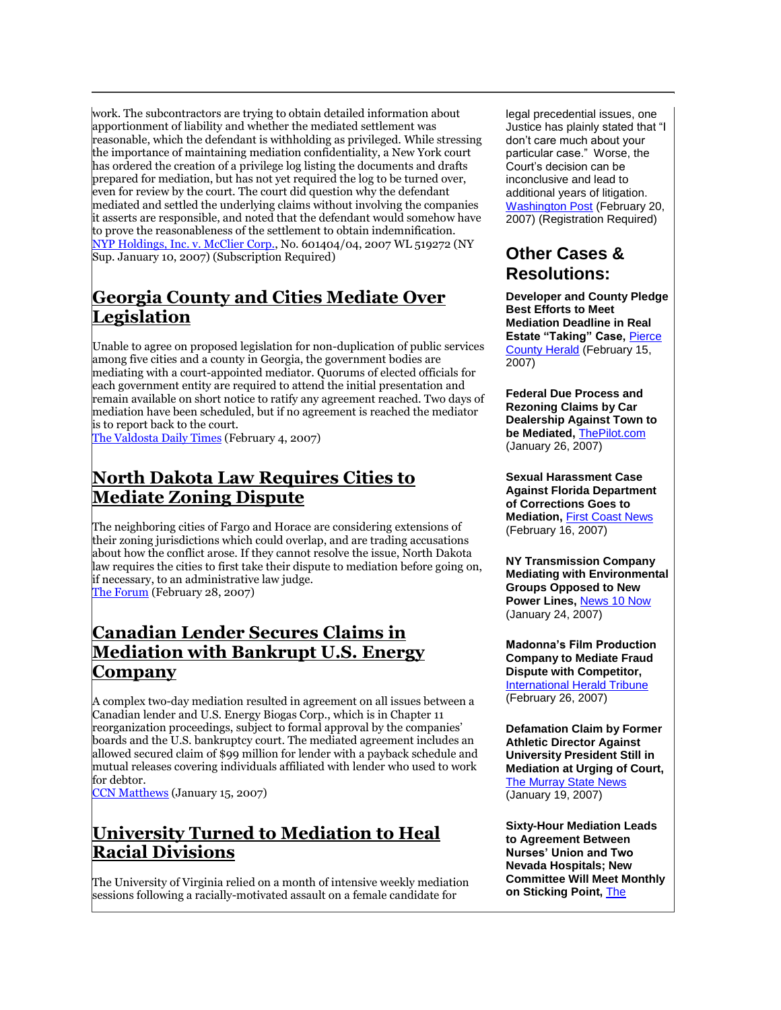work. The subcontractors are trying to obtain detailed information about apportionment of liability and whether the mediated settlement was reasonable, which the defendant is withholding as privileged. While stressing the importance of maintaining mediation confidentiality, a New York court has ordered the creation of a privilege log listing the documents and drafts prepared for mediation, but has not yet required the log to be turned over, even for review by the court. The court did question why the defendant mediated and settled the underlying claims without involving the companies it asserts are responsible, and noted that the defendant would somehow have to prove the reasonableness of the settlement to obtain indemnification. [NYP Holdings, Inc. v. McClier Corp.,](http://web2.westlaw.com/signon/default.wl?bhcp=1&FN=%5Ftop&MT=LawSchoolPractitioner&newdoor=true&path=%2Fwelcome%2FLawSchoolPractitioner%2Fdefault%2Ewl&rs=LAWS2%2E0&strRecreate=no&sv=Split&vr=2%2E0) No. 601404/04, 2007 WL 519272 (NY Sup. January 10, 2007) (Subscription Required)

### **Georgia County and Cities Mediate Over Legislation**

Unable to agree on proposed legislation for non-duplication of public services among five cities and a county in Georgia, the government bodies are mediating with a court-appointed mediator. Quorums of elected officials for each government entity are required to attend the initial presentation and remain available on short notice to ratify any agreement reached. Two days of mediation have been scheduled, but if no agreement is reached the mediator is to report back to the court.

[The Valdosta Daily Times](http://www.valdostadailytimes.com/local/local_story_035000155.html) (February 4, 2007)

#### **North Dakota Law Requires Cities to Mediate Zoning Dispute**

The neighboring cities of Fargo and Horace are considering extensions of their zoning jurisdictions which could overlap, and are trading accusations about how the conflict arose. If they cannot resolve the issue, North Dakota law requires the cities to first take their dispute to mediation before going on, if necessary, to an administrative law judge. [The Forum](http://tinyurl.com/2spkev) (February 28, 2007)

#### **Canadian Lender Secures Claims in Mediation with Bankrupt U.S. Energy Company**

A complex two-day mediation resulted in agreement on all issues between a Canadian lender and U.S. Energy Biogas Corp., which is in Chapter 11 reorganization proceedings, subject to formal approval by the companies' boards and the U.S. bankruptcy court. The mediated agreement includes an allowed secured claim of \$99 million for lender with a payback schedule and mutual releases covering individuals affiliated with lender who used to work for debtor.

[CCN Matthews](http://www.ccnmatthews.com/news/releases/show.jsp?action=showRelease&searchText=false&showText=all&actionFor=630694) (January 15, 2007)

# **University Turned to Mediation to Heal Racial Divisions**

The University of Virginia relied on a month of intensive weekly mediation sessions following a racially-motivated assault on a female candidate for

legal precedential issues, one Justice has plainly stated that "I don't care much about your particular case." Worse, the Court's decision can be inconclusive and lead to additional years of litigation. [Washington Post](http://www.washingtonpost.com/wp-dyn/content/article/2007/02/19/AR2007021900762.html) (February 20, 2007) (Registration Required)

#### **Other Cases & Resolutions:**

**Developer and County Pledge Best Efforts to Meet Mediation Deadline in Real Estate "Taking" Case,** [Pierce](http://tinyurl.com/2yaoyz)  [County Herald](http://tinyurl.com/2yaoyz) (February 15, 2007)

**Federal Due Process and Rezoning Claims by Car Dealership Against Town to be Mediated,** [ThePilot.com](http://www.thepilot.com/stories/20070126/news/local/20070126mediation.html) (January 26, 2007)

**Sexual Harassment Case Against Florida Department of Corrections Goes to Mediation,** [First Coast News](http://www.firstcoastnews.com/news/florida/news-article.aspx?storyid=76061) (February 16, 2007)

**NY Transmission Company Mediating with Environmental Groups Opposed to New Power Lines,** [News 10 Now](http://news10now.com/content/top_stories/default.asp?ArID=93035) (January 24, 2007)

**Madonna's Film Production Company to Mediate Fraud Dispute with Competitor,** [International Herald Tribune](http://www.iht.com/articles/ap/2007/02/26/arts/NA-A-E-MOV-US-Maverick-Prison-Film.php) (February 26, 2007)

**Defamation Claim by Former Athletic Director Against University President Still in Mediation at Urging of Court,** [The Murray State News](http://tinyurl.com/yqc449) (January 19, 2007)

**Sixty-Hour Mediation Leads to Agreement Between Nurses' Union and Two Nevada Hospitals; New Committee Will Meet Monthly on Sticking Point,** [The](http://www.zwire.com/site/printerFriendly.cfm?brd=2212&dept_id=465812&newsid=17828438)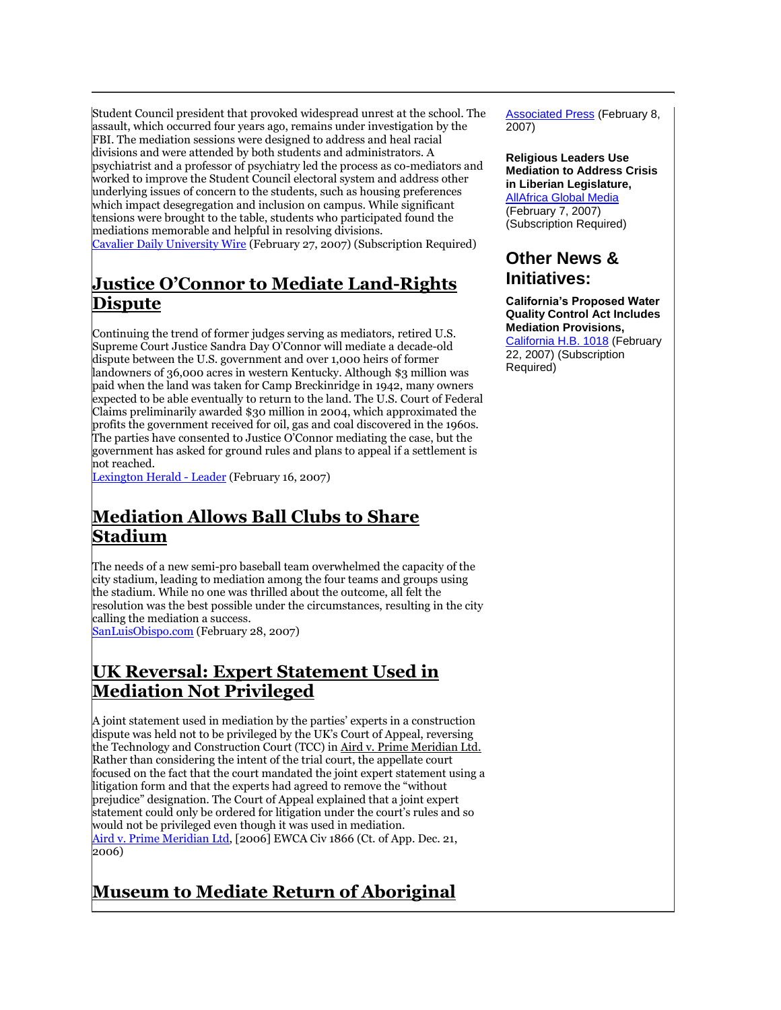Student Council president that provoked widespread unrest at the school. The assault, which occurred four years ago, remains under investigation by the FBI. The mediation sessions were designed to address and heal racial divisions and were attended by both students and administrators. A psychiatrist and a professor of psychiatry led the process as co-mediators and worked to improve the Student Council electoral system and address other underlying issues of concern to the students, such as housing preferences which impact desegregation and inclusion on campus. While significant tensions were brought to the table, students who participated found the mediations memorable and helpful in resolving divisions. [Cavalier Daily University Wire](http://web2.westlaw.com/signon/default.wl?cite=2%2F27%2F07+University+Wire+01%3A58%3A01&findjuris=00001&FN=%5Ftop&mt=NewsAndBusiness&newdoor=true&path=%2Ffind%2Fdefault%2Ewl&rs=WLW7%2E02&strRecreate=no&sv=Split&vr=2%2E0) (February 27, 2007) (Subscription Required)

### **Justice O'Connor to Mediate Land-Rights Dispute**

Continuing the trend of former judges serving as mediators, retired U.S. Supreme Court Justice Sandra Day O'Connor will mediate a decade-old dispute between the U.S. government and over 1,000 heirs of former landowners of 36,000 acres in western Kentucky. Although \$3 million was paid when the land was taken for Camp Breckinridge in 1942, many owners expected to be able eventually to return to the land. The U.S. Court of Federal Claims preliminarily awarded \$30 million in 2004, which approximated the profits the government received for oil, gas and coal discovered in the 1960s. The parties have consented to Justice O'Connor mediating the case, but the government has asked for ground rules and plans to appeal if a settlement is not reached.

[Lexington Herald -](http://tinyurl.com/3bxv47) Leader (February 16, 2007)

#### **Mediation Allows Ball Clubs to Share Stadium**

The needs of a new semi-pro baseball team overwhelmed the capacity of the city stadium, leading to mediation among the four teams and groups using the stadium. While no one was thrilled about the outcome, all felt the resolution was the best possible under the circumstances, resulting in the city calling the mediation a success.

[SanLuisObispo.com](http://tinyurl.com/3cq9t9) (February 28, 2007)

#### **UK Reversal: Expert Statement Used in Mediation Not Privileged**

A joint statement used in mediation by the parties' experts in a construction dispute was held not to be privileged by the UK's Court of Appeal, reversing the Technology and Construction Court (TCC) in Aird v. Prime Meridian Ltd. Rather than considering the intent of the trial court, the appellate court focused on the fact that the court mandated the joint expert statement using a litigation form and that the experts had agreed to remove the "without prejudice" designation. The Court of Appeal explained that a joint expert statement could only be ordered for litigation under the court's rules and so would not be privileged even though it was used in mediation. [Aird v. Prime Meridian Ltd,](http://www.bailii.org/ew/cases/EWCA/Civ/2006/1866.html) [2006] EWCA Civ 1866 (Ct. of App. Dec. 21, 2006)

# **Museum to Mediate Return of Aboriginal**

Associated Press (February 8, 2007)

**Religious Leaders Use Mediation to Address Crisis in Liberian Legislature,** [AllAfrica Global Media](http://tinyurl.com/ytf86t) (February 7, 2007) (Subscription Required)

#### **Other News & Initiatives:**

**California's Proposed Water Quality Control Act Includes Mediation Provisions,** [California H.B. 1018](http://tinyurl.com/29nudb) (February

22, 2007) (Subscription Required)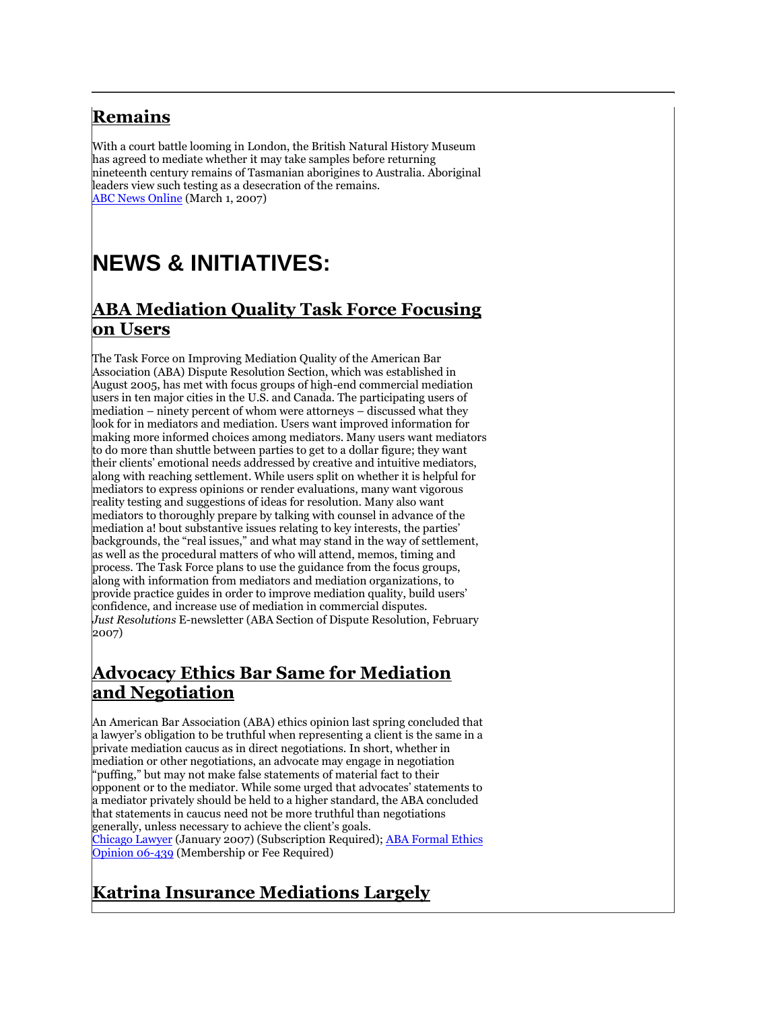# **Remains**

With a court battle looming in London, the British Natural History Museum has agreed to mediate whether it may take samples before returning nineteenth century remains of Tasmanian aborigines to Australia. Aboriginal leaders view such testing as a desecration of the remains. [ABC News Online](http://www.abc.net.au/news/newsitems/200703/s1859942.htm) (March 1, 2007)

# **NEWS & INITIATIVES:**

#### **ABA Mediation Quality Task Force Focusing on Users**

The Task Force on Improving Mediation Quality of the American Bar Association (ABA) Dispute Resolution Section, which was established in August 2005, has met with focus groups of high-end commercial mediation users in ten major cities in the U.S. and Canada. The participating users of mediation – ninety percent of whom were attorneys – discussed what they look for in mediators and mediation. Users want improved information for making more informed choices among mediators. Many users want mediators to do more than shuttle between parties to get to a dollar figure; they want their clients' emotional needs addressed by creative and intuitive mediators, along with reaching settlement. While users split on whether it is helpful for mediators to express opinions or render evaluations, many want vigorous reality testing and suggestions of ideas for resolution. Many also want mediators to thoroughly prepare by talking with counsel in advance of the mediation a! bout substantive issues relating to key interests, the parties' backgrounds, the "real issues," and what may stand in the way of settlement, as well as the procedural matters of who will attend, memos, timing and process. The Task Force plans to use the guidance from the focus groups, along with information from mediators and mediation organizations, to provide practice guides in order to improve mediation quality, build users' confidence, and increase use of mediation in commercial disputes. *Just Resolutions* E-newsletter (ABA Section of Dispute Resolution, February 2007)

#### **Advocacy Ethics Bar Same for Mediation and Negotiation**

An American Bar Association (ABA) ethics opinion last spring concluded that a lawyer's obligation to be truthful when representing a client is the same in a private mediation caucus as in direct negotiations. In short, whether in mediation or other negotiations, an advocate may engage in negotiation "puffing," but may not make false statements of material fact to their opponent or to the mediator. While some urged that advocates' statements to a mediator privately should be held to a higher standard, the ABA concluded that statements in caucus need not be more truthful than negotiations generally, unless necessary to achieve the client's goals. [Chicago Lawyer](http://web2.westlaw.com/signon/default.wl?cite=2%2F27%2F07+University+Wire+01%3A58%3A01&findjuris=00001&FN=%5Ftop&mt=NewsAndBusiness&newdoor=true&path=%2Ffind%2Fdefault%2Ewl&rs=WLW7%2E02&strRecreate=no&sv=Split&vr=2%2E0) (January 2007) (Subscription Required); ABA Formal Ethics [Opinion 06-439](http://www.abanet.org/abanet/common/login/securedarea.cfm?areaType=member&role=abanetmo&url=/cpr/mo/06_439.pdf) (Membership or Fee Required)

# **Katrina Insurance Mediations Largely**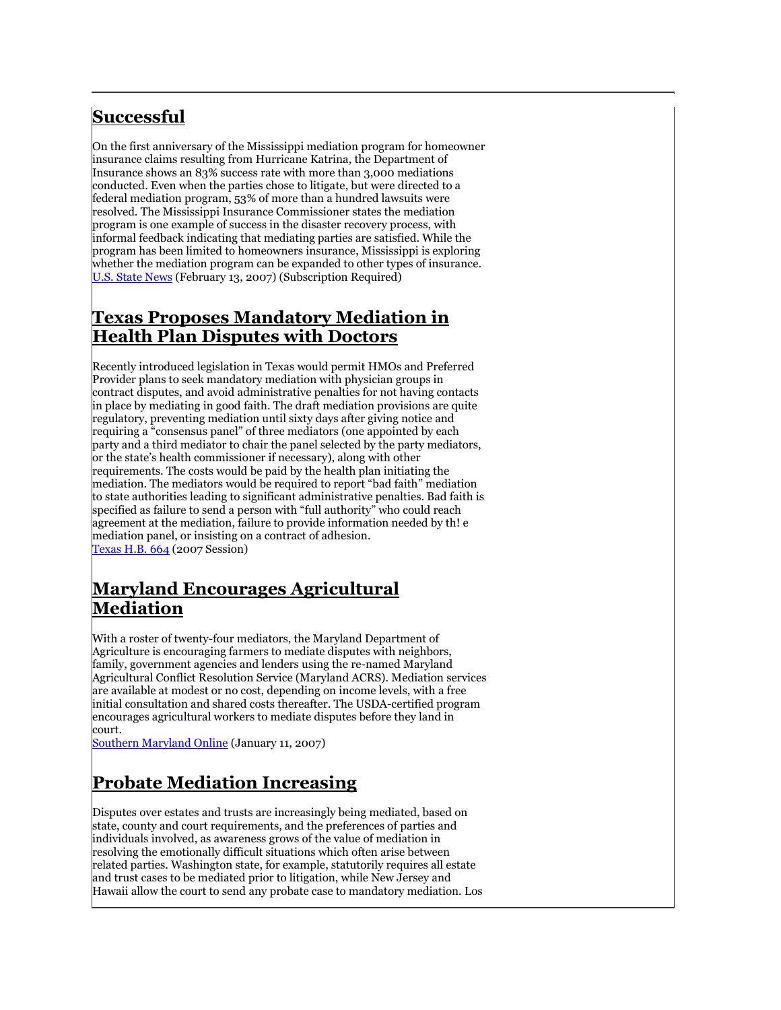# **Successful**

On the first anniversary of the Mississippi mediation program for homeowner insurance claims resulting from Hurricane Katrina, the Department of Insurance shows an 83% success rate with more than 3,000 mediations conducted. Even when the parties chose to litigate, but were directed to a federal mediation program, 53% of more than a hundred lawsuits were resolved. The Mississippi Insurance Commissioner states the mediation program is one example of success in the disaster recovery process, with informal feedback indicating that mediating parties are satisfied. While the program has been limited to homeowners insurance, Mississippi is exploring whether the mediation program can be expanded to other types of insurance. [U.S. State News](http://web2.westlaw.com/signon/default.wl?cite=2007+WLNR+2969535&findjuris=00001&FN=%5Ftop&mt=NewsAndBusiness&newdoor=true&path=%2Ffind%2Fdefault%2Ewl&rs=WLW7%2E02&strRecreate=no&sv=Split&vr=2%2E0) (February 13, 2007) (Subscription Required)

#### **Texas Proposes Mandatory Mediation in Health Plan Disputes with Doctors**

Recently introduced legislation in Texas would permit HMOs and Preferred Provider plans to seek mandatory mediation with physician groups in contract disputes, and avoid administrative penalties for not having contacts in place by mediating in good faith. The draft mediation provisions are quite regulatory, preventing mediation until sixty days after giving notice and requiring a "consensus panel" of three mediators (one appointed by each party and a third mediator to chair the panel selected by the party mediators, or the state's health commissioner if necessary), along with other requirements. The costs would be paid by the health plan initiating the mediation. The mediators would be required to report "bad faith" mediation to state authorities leading to significant administrative penalties. Bad faith is specified as failure to send a person with "full authority" who could reach agreement at the mediation, failure to provide information needed by th! e mediation panel, or insisting on a contract of adhesion. [Texas H.B. 664](http://www.capitol.state.tx.us/tlodocs/80R/billtext/doc/HB00664I.doc) (2007 Session)

#### **Maryland Encourages Agricultural Mediation**

With a roster of twenty-four mediators, the Maryland Department of Agriculture is encouraging farmers to mediate disputes with neighbors, family, government agencies and lenders using the re-named Maryland Agricultural Conflict Resolution Service (Maryland ACRS). Mediation services are available at modest or no cost, depending on income levels, with a free initial consultation and shared costs thereafter. The USDA-certified program encourages agricultural workers to mediate disputes before they land in court.

[Southern Maryland Online](http://somd.com/news/headlines/2007/5157.shtml) (January 11, 2007)

# **Probate Mediation Increasing**

Disputes over estates and trusts are increasingly being mediated, based on state, county and court requirements, and the preferences of parties and individuals involved, as awareness grows of the value of mediation in resolving the emotionally difficult situations which often arise between related parties. Washington state, for example, statutorily requires all estate and trust cases to be mediated prior to litigation, while New Jersey and Hawaii allow the court to send any probate case to mandatory mediation. Los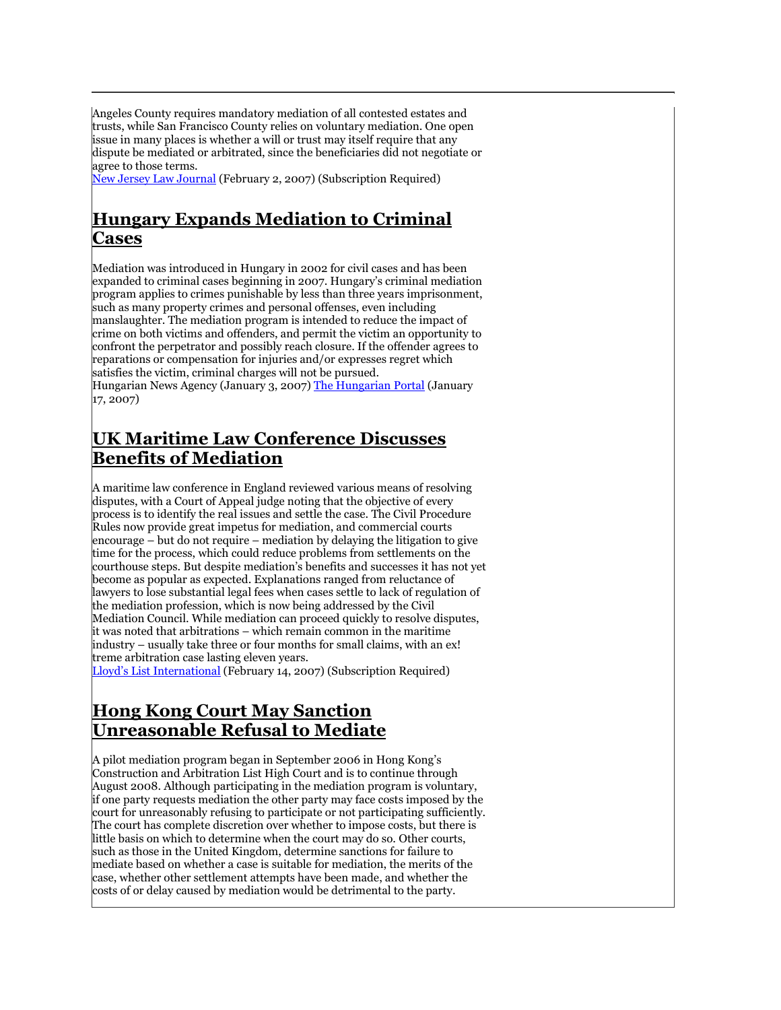Angeles County requires mandatory mediation of all contested estates and trusts, while San Francisco County relies on voluntary mediation. One open issue in many places is whether a will or trust may itself require that any dispute be mediated or arbitrated, since the beneficiaries did not negotiate or agree to those terms.

[New Jersey Law Journal](http://web2.westlaw.com/signon/default.wl?cite=2%2F2%2F2007+N%2EJ%2EL%2EJ%2E+&findjuris=00001&FN=%5Ftop&mt=NewsAndBusiness&newdoor=true&path=%2Ffind%2Fdefault%2Ewl&rs=WLW7%2E01&strRecreate=no&sv=Split&vr=2%2E0) (February 2, 2007) (Subscription Required)

#### **Hungary Expands Mediation to Criminal Cases**

Mediation was introduced in Hungary in 2002 for civil cases and has been expanded to criminal cases beginning in 2007. Hungary's criminal mediation program applies to crimes punishable by less than three years imprisonment, such as many property crimes and personal offenses, even including manslaughter. The mediation program is intended to reduce the impact of crime on both victims and offenders, and permit the victim an opportunity to confront the perpetrator and possibly reach closure. If the offender agrees to reparations or compensation for injuries and/or expresses regret which satisfies the victim, criminal charges will not be pursued.

Hungarian News Agency (January 3, 2007) [The Hungarian Portal](http://tinyurl.com/2q6r2p) (January 17, 2007)

#### **UK Maritime Law Conference Discusses Benefits of Mediation**

A maritime law conference in England reviewed various means of resolving disputes, with a Court of Appeal judge noting that the objective of every process is to identify the real issues and settle the case. The Civil Procedure Rules now provide great impetus for mediation, and commercial courts encourage – but do not require – mediation by delaying the litigation to give time for the process, which could reduce problems from settlements on the courthouse steps. But despite mediation's benefits and successes it has not yet become as popular as expected. Explanations ranged from reluctance of lawyers to lose substantial legal fees when cases settle to lack of regulation of the mediation profession, which is now being addressed by the Civil Mediation Council. While mediation can proceed quickly to resolve disputes, it was noted that arbitrations – which remain common in the maritime industry – usually take three or four months for small claims, with an ex! treme arbitration case lasting eleven years.

[Lloyd's List International](http://web2.westlaw.com/signon/default.wl?cite=2007+WLNR+2851493&findjuris=00001&FN=%5Ftop&mt=NewsAndBusiness&newdoor=true&path=%2Ffind%2Fdefault%2Ewl&rs=WLW7%2E02&strRecreate=no&sv=Split&vr=2%2E0) (February 14, 2007) (Subscription Required)

#### **Hong Kong Court May Sanction Unreasonable Refusal to Mediate**

A pilot mediation program began in September 2006 in Hong Kong's Construction and Arbitration List High Court and is to continue through August 2008. Although participating in the mediation program is voluntary, if one party requests mediation the other party may face costs imposed by the court for unreasonably refusing to participate or not participating sufficiently. The court has complete discretion over whether to impose costs, but there is little basis on which to determine when the court may do so. Other courts, such as those in the United Kingdom, determine sanctions for failure to mediate based on whether a case is suitable for mediation, the merits of the case, whether other settlement attempts have been made, and whether the costs of or delay caused by mediation would be detrimental to the party.